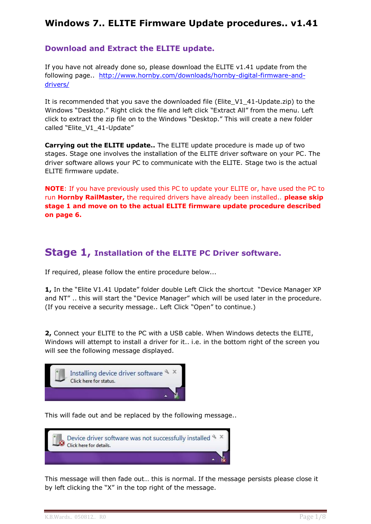# **Windows 7.. ELITE Firmware Update procedures.. v1.41**

## **Download and Extract the ELITE update.**

If you have not already done so, please download the ELITE v1.41 update from the following page.. [http://www.hornby.com/downloads/hornby-digital-firmware-and](http://www.hornby.com/downloads/hornby-digital-firmware-and-drivers/)[drivers/](http://www.hornby.com/downloads/hornby-digital-firmware-and-drivers/)

It is recommended that you save the downloaded file (Elite\_V1\_41-Update.zip) to the Windows "Desktop." Right click the file and left click "Extract All" from the menu. Left click to extract the zip file on to the Windows "Desktop." This will create a new folder called "Elite\_V1\_41-Update"

**Carrying out the ELITE update..** The ELITE update procedure is made up of two stages. Stage one involves the installation of the ELITE driver software on your PC. The driver software allows your PC to communicate with the ELITE. Stage two is the actual ELITE firmware update.

**NOTE**: If you have previously used this PC to update your ELITE or, have used the PC to run **Hornby RailMaster,** the required drivers have already been installed.. **please skip stage 1 and move on to the actual ELITE firmware update procedure described on page 6.**

# **Stage 1, Installation of the ELITE PC Driver software.**

If required, please follow the entire procedure below...

**1,** In the "Elite V1.41 Update" folder double Left Click the shortcut "Device Manager XP and NT" .. this will start the "Device Manager" which will be used later in the procedure. (If you receive a security message.. Left Click "Open" to continue.)

**2,** Connect your ELITE to the PC with a USB cable. When Windows detects the ELITE, Windows will attempt to install a driver for it.. i.e. in the bottom right of the screen you will see the following message displayed.



This will fade out and be replaced by the following message..



This message will then fade out… this is normal. If the message persists please close it by left clicking the "X" in the top right of the message.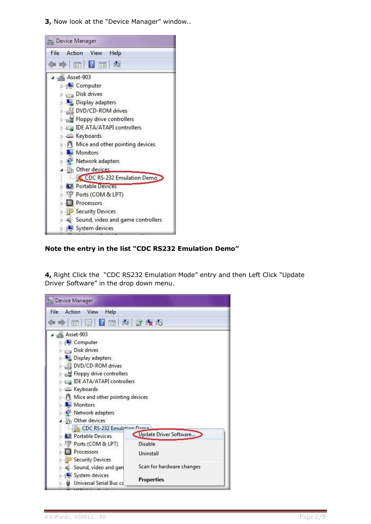**3,** Now look at the "Device Manager" window..



#### **Note the entry in the list "CDC RS232 Emulation Demo"**

**4,** Right Click the "CDC RS232 Emulation Mode" entry and then Left Click "Update Driver Software" in the drop down menu.

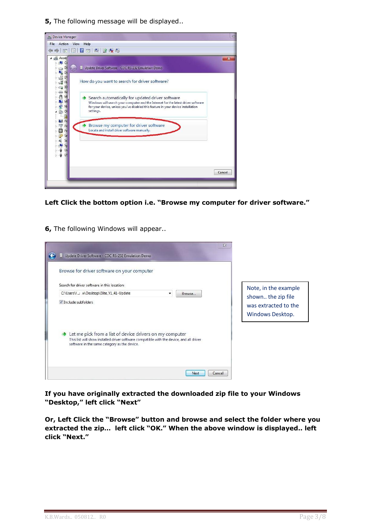**5,** The following message will be displayed..



**Left Click the bottom option i.e. "Browse my computer for driver software."**

**6,** The following Windows will appear..



**If you have originally extracted the downloaded zip file to your Windows "Desktop," left click "Next"**

**Or, Left Click the "Browse" button and browse and select the folder where you extracted the zip… left click "OK." When the above window is displayed.. left click "Next."**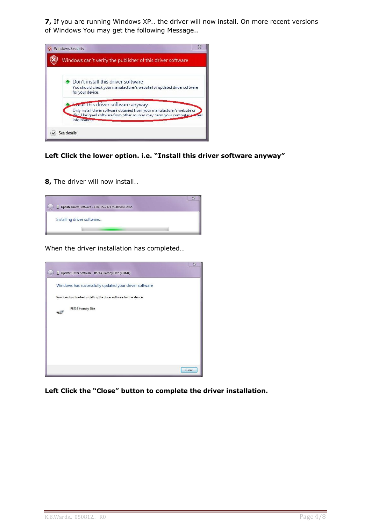**7,** If you are running Windows XP.. the driver will now install. On more recent versions of Windows You may get the following Message..



#### **Left Click the lower option. i.e. "Install this driver software anyway"**

**8,** The driver will now install..



When the driver installation has completed…



**Left Click the "Close" button to complete the driver installation.**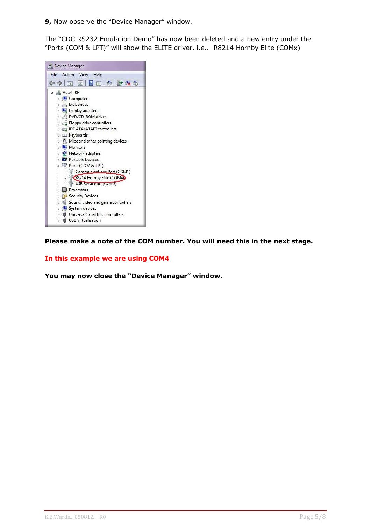**9,** Now observe the "Device Manager" window.

The "CDC RS232 Emulation Demo" has now been deleted and a new entry under the "Ports (COM & LPT)" will show the ELITE driver. i.e.. R8214 Hornby Elite (COMx)



**Please make a note of the COM number. You will need this in the next stage.**

#### **In this example we are using COM4**

**You may now close the "Device Manager" window.**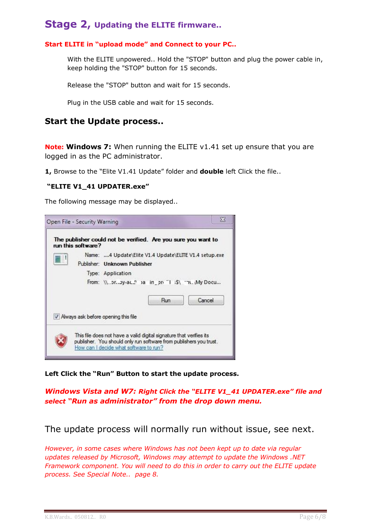# **Stage 2, Updating the ELITE firmware..**

### **Start ELITE in "upload mode" and Connect to your PC..**

With the ELITE unpowered.. Hold the "STOP" button and plug the power cable in, keep holding the "STOP" button for 15 seconds.

Release the "STOP" button and wait for 15 seconds.

Plug in the USB cable and wait for 15 seconds.

## **Start the Update process..**

**Note: Windows 7:** When running the ELITE v1.41 set up ensure that you are logged in as the PC administrator.

**1,** Browse to the "Elite V1.41 Update" folder and **double** left Click the file..

#### **"ELITE V1\_41 UPDATER.exe"**

The following message may be displayed..



**Left Click the "Run" Button to start the update process.**

*Windows Vista and W7: Right Click the "ELITE V1\_41 UPDATER.exe" file and select "Run as administrator" from the drop down menu.*

The update process will normally run without issue, see next.

*However, in some cases where Windows has not been kept up to date via regular updates released by Microsoft, Windows may attempt to update the Windows .NET Framework component. You will need to do this in order to carry out the ELITE update process. See Special Note.. page 8.*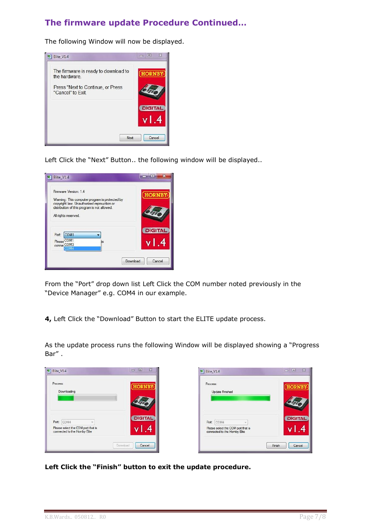# **The firmware update Procedure Continued…**

The following Window will now be displayed.



Left Click the "Next" Button.. the following window will be displayed..

| Firmware Version: 14                                                                        |    |                |
|---------------------------------------------------------------------------------------------|----|----------------|
| Waming: This computer program is protected by<br>copyright law. Unauthorized reprouction or |    |                |
| distribution of this program is not allowed.                                                |    |                |
| All rights reserved.                                                                        |    |                |
|                                                                                             |    | <b>DIGITAL</b> |
| COM <sub>1</sub><br>Port:                                                                   |    |                |
| Please COM1<br>conne COM3                                                                   | is |                |
| COM4                                                                                        |    |                |

From the "Port" drop down list Left Click the COM number noted previously in the "Device Manager" e.g. COM4 in our example.

**4,** Left Click the "Download" Button to start the ELITE update process.

As the update process runs the following Window will be displayed showing a "Progress Bar" .

| <b>Update Finished</b>                           |                              |
|--------------------------------------------------|------------------------------|
| Port: COM4<br>Please select the COM port that is | <b>DIGITAL</b>               |
|                                                  | connected to the Homby Elite |

**Left Click the "Finish" button to exit the update procedure.**